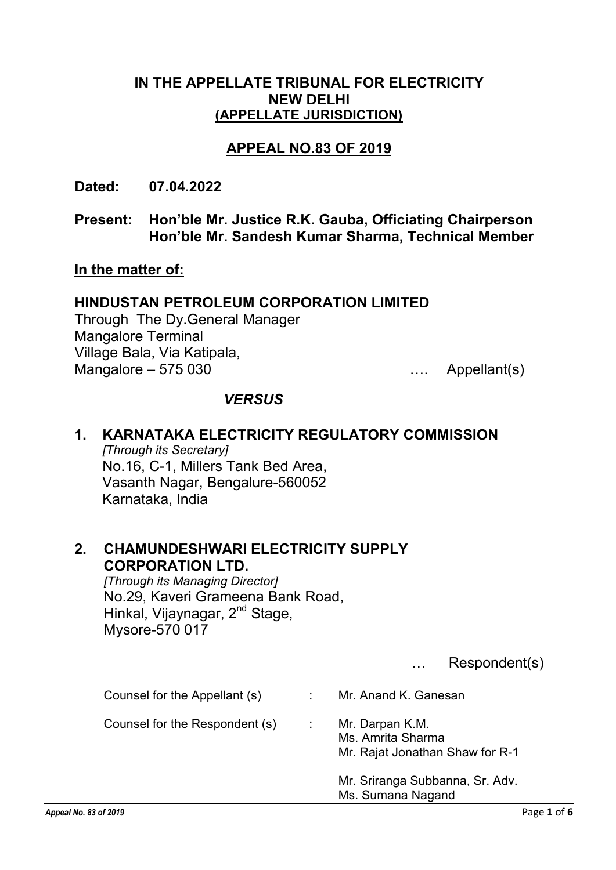### IN THE APPELLATE TRIBUNAL FOR ELECTRICITY NEW DELHI (APPELLATE JURISDICTION)

## APPEAL NO.83 OF 2019

Dated: 07.04.2022

Present: Hon'ble Mr. Justice R.K. Gauba, Officiating Chairperson Hon'ble Mr. Sandesh Kumar Sharma, Technical Member

#### In the matter of:

#### HINDUSTAN PETROLEUM CORPORATION LIMITED

Through The Dy.General Manager Mangalore Terminal Village Bala, Via Katipala, Mangalore – 575 030 …. Appellant(s)

#### *VERSUS*

# 1. KARNATAKA ELECTRICITY REGULATORY COMMISSION

*[Through its Secretary]* No.16, C-1, Millers Tank Bed Area, Vasanth Nagar, Bengalure-560052 Karnataka, India

## 2. CHAMUNDESHWARI ELECTRICITY SUPPLY CORPORATION LTD.

*[Through its Managing Director]* No.29, Kaveri Grameena Bank Road, Hinkal, Vijaynagar, 2<sup>nd</sup> Stage, Mysore-570 017

… Respondent(s)

| Counsel for the Appellant (s)  | Mr. Anand K. Ganesan                                                    |
|--------------------------------|-------------------------------------------------------------------------|
| Counsel for the Respondent (s) | Mr. Darpan K.M.<br>Ms. Amrita Sharma<br>Mr. Rajat Jonathan Shaw for R-1 |
|                                | Mr. Sriranga Subbanna, Sr. Adv.<br>Ms. Sumana Nagand                    |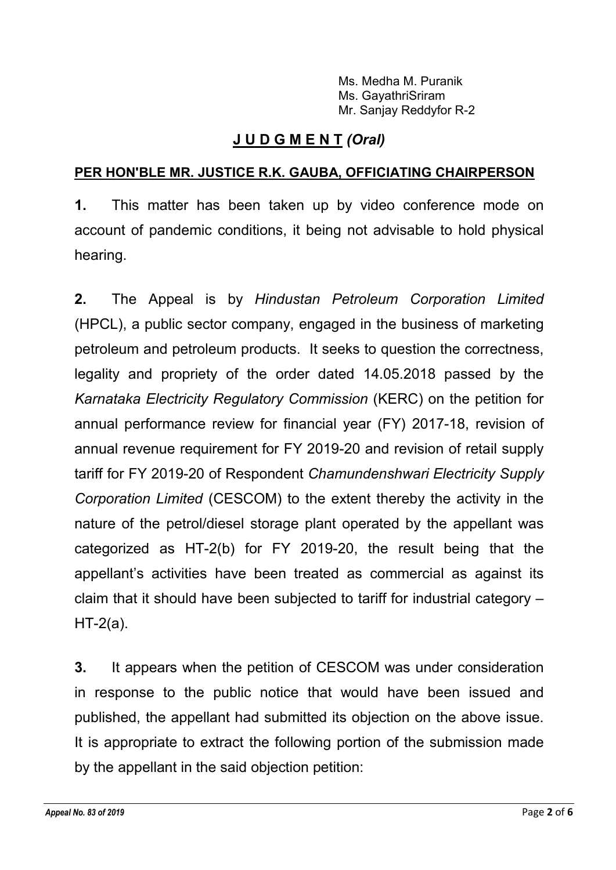Ms. Medha M. Puranik Ms. GayathriSriram Mr. Sanjay Reddyfor R-2

# J U D G M E N T *(Oral)*

## PER HON'BLE MR. JUSTICE R.K. GAUBA, OFFICIATING CHAIRPERSON

1. This matter has been taken up by video conference mode on account of pandemic conditions, it being not advisable to hold physical hearing.

2. The Appeal is by *Hindustan Petroleum Corporation Limited* (HPCL), a public sector company, engaged in the business of marketing petroleum and petroleum products. It seeks to question the correctness, legality and propriety of the order dated 14.05.2018 passed by the *Karnataka Electricity Regulatory Commission* (KERC) on the petition for annual performance review for financial year (FY) 2017-18, revision of annual revenue requirement for FY 2019-20 and revision of retail supply tariff for FY 2019-20 of Respondent *Chamundenshwari Electricity Supply Corporation Limited* (CESCOM) to the extent thereby the activity in the nature of the petrol/diesel storage plant operated by the appellant was categorized as HT-2(b) for FY 2019-20, the result being that the appellant's activities have been treated as commercial as against its claim that it should have been subjected to tariff for industrial category –  $HT-2(a)$ .

3. It appears when the petition of CESCOM was under consideration in response to the public notice that would have been issued and published, the appellant had submitted its objection on the above issue. It is appropriate to extract the following portion of the submission made by the appellant in the said objection petition: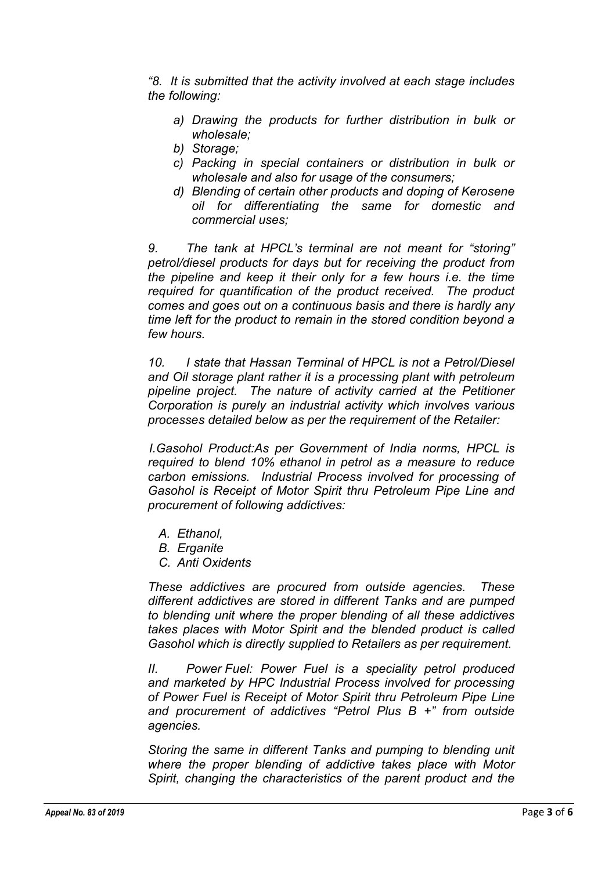*"8. It is submitted that the activity involved at each stage includes the following:*

- *a) Drawing the products for further distribution in bulk or wholesale;*
- *b) Storage;*
- *c) Packing in special containers or distribution in bulk or wholesale and also for usage of the consumers;*
- *d) Blending of certain other products and doping of Kerosene oil for differentiating the same for domestic and commercial uses;*

*9. The tank at HPCL's terminal are not meant for "storing" petrol/diesel products for days but for receiving the product from the pipeline and keep it their only for a few hours i.e. the time required for quantification of the product received. The product comes and goes out on a continuous basis and there is hardly any time left for the product to remain in the stored condition beyond a few hours.*

*10. I state that Hassan Terminal of HPCL is not a Petrol/Diesel and Oil storage plant rather it is a processing plant with petroleum pipeline project. The nature of activity carried at the Petitioner Corporation is purely an industrial activity which involves various processes detailed below as per the requirement of the Retailer:*

*I.Gasohol Product:As per Government of India norms, HPCL is required to blend 10% ethanol in petrol as a measure to reduce carbon emissions. Industrial Process involved for processing of Gasohol is Receipt of Motor Spirit thru Petroleum Pipe Line and procurement of following addictives:*

- *A. Ethanol,*
- *B. Erganite*
- *C. Anti Oxidents*

*These addictives are procured from outside agencies. These different addictives are stored in different Tanks and are pumped to blending unit where the proper blending of all these addictives takes places with Motor Spirit and the blended product is called Gasohol which is directly supplied to Retailers as per requirement.*

*II. Power Fuel: Power Fuel is a speciality petrol produced and marketed by HPC Industrial Process involved for processing of Power Fuel is Receipt of Motor Spirit thru Petroleum Pipe Line and procurement of addictives "Petrol Plus B +" from outside agencies.*

*Storing the same in different Tanks and pumping to blending unit where the proper blending of addictive takes place with Motor Spirit, changing the characteristics of the parent product and the*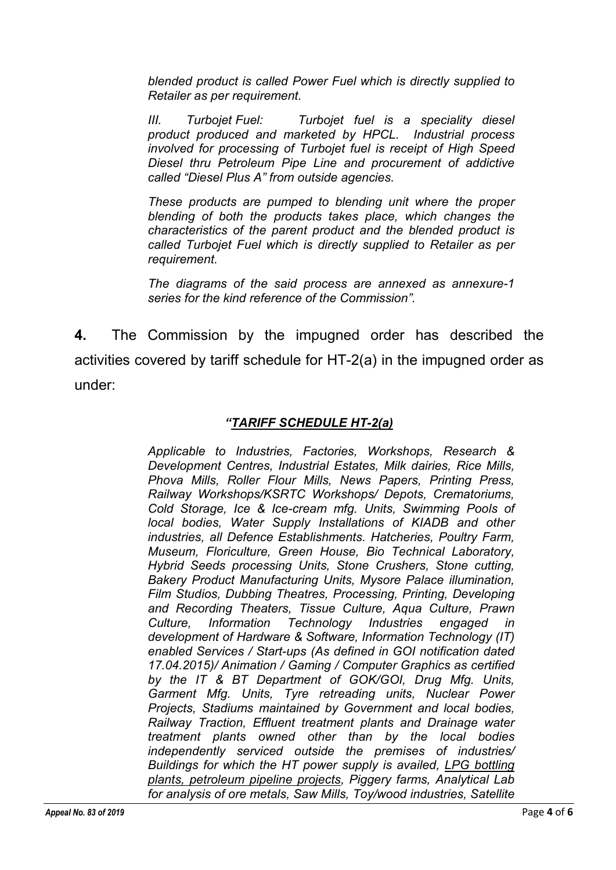*blended product is called Power Fuel which is directly supplied to Retailer as per requirement.*

*III. Turbojet Fuel: Turbojet fuel is a speciality diesel product produced and marketed by HPCL. Industrial process involved for processing of Turbojet fuel is receipt of High Speed Diesel thru Petroleum Pipe Line and procurement of addictive called "Diesel Plus A" from outside agencies.*

*These products are pumped to blending unit where the proper blending of both the products takes place, which changes the characteristics of the parent product and the blended product is called Turbojet Fuel which is directly supplied to Retailer as per requirement.*

*The diagrams of the said process are annexed as annexure-1 series for the kind reference of the Commission".* 

4. The Commission by the impugned order has described the activities covered by tariff schedule for HT-2(a) in the impugned order as under:

#### *"TARIFF SCHEDULE HT-2(a)*

*Applicable to Industries, Factories, Workshops, Research & Development Centres, Industrial Estates, Milk dairies, Rice Mills, Phova Mills, Roller Flour Mills, News Papers, Printing Press, Railway Workshops/KSRTC Workshops/ Depots, Crematoriums, Cold Storage, Ice & Ice-cream mfg. Units, Swimming Pools of local bodies, Water Supply Installations of KIADB and other industries, all Defence Establishments. Hatcheries, Poultry Farm, Museum, Floriculture, Green House, Bio Technical Laboratory, Hybrid Seeds processing Units, Stone Crushers, Stone cutting, Bakery Product Manufacturing Units, Mysore Palace illumination, Film Studios, Dubbing Theatres, Processing, Printing, Developing and Recording Theaters, Tissue Culture, Aqua Culture, Prawn Culture, Information Technology Industries engaged in development of Hardware & Software, Information Technology (IT) enabled Services / Start-ups (As defined in GOI notification dated 17.04.2015)/ Animation / Gaming / Computer Graphics as certified by the IT & BT Department of GOK/GOI, Drug Mfg. Units, Garment Mfg. Units, Tyre retreading units, Nuclear Power Projects, Stadiums maintained by Government and local bodies, Railway Traction, Effluent treatment plants and Drainage water treatment plants owned other than by the local bodies independently serviced outside the premises of industries/ Buildings for which the HT power supply is availed, LPG bottling plants, petroleum pipeline projects, Piggery farms, Analytical Lab for analysis of ore metals, Saw Mills, Toy/wood industries, Satellite*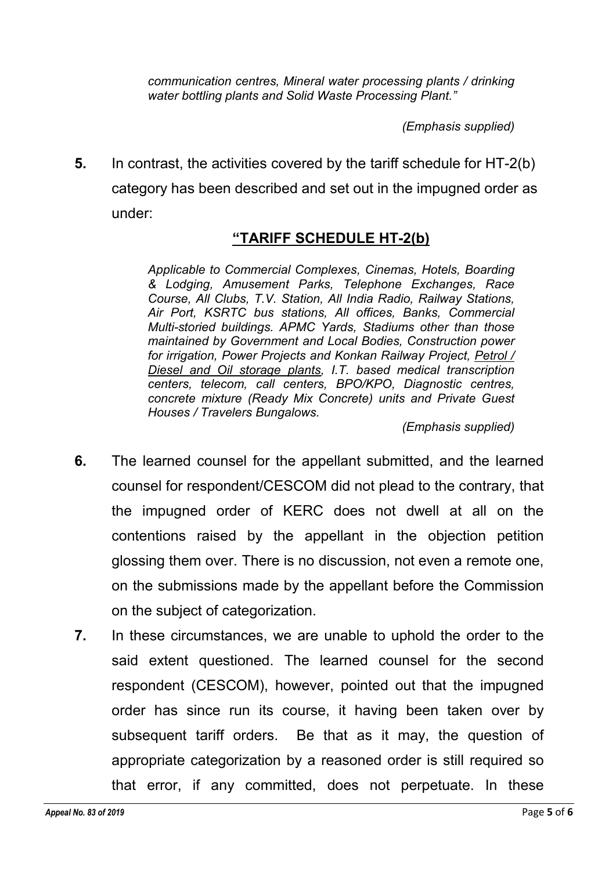*communication centres, Mineral water processing plants / drinking water bottling plants and Solid Waste Processing Plant."*

*(Emphasis supplied)*

5. In contrast, the activities covered by the tariff schedule for HT-2(b) category has been described and set out in the impugned order as under:

## "TARIFF SCHEDULE HT-2(b)

*Applicable to Commercial Complexes, Cinemas, Hotels, Boarding & Lodging, Amusement Parks, Telephone Exchanges, Race Course, All Clubs, T.V. Station, All India Radio, Railway Stations, Air Port, KSRTC bus stations, All offices, Banks, Commercial Multi-storied buildings. APMC Yards, Stadiums other than those maintained by Government and Local Bodies, Construction power for irrigation, Power Projects and Konkan Railway Project, Petrol / Diesel and Oil storage plants, I.T. based medical transcription centers, telecom, call centers, BPO/KPO, Diagnostic centres, concrete mixture (Ready Mix Concrete) units and Private Guest Houses / Travelers Bungalows.*

*(Emphasis supplied)*

- 6. The learned counsel for the appellant submitted, and the learned counsel for respondent/CESCOM did not plead to the contrary, that the impugned order of KERC does not dwell at all on the contentions raised by the appellant in the objection petition glossing them over. There is no discussion, not even a remote one, on the submissions made by the appellant before the Commission on the subject of categorization.
- 7. In these circumstances, we are unable to uphold the order to the said extent questioned. The learned counsel for the second respondent (CESCOM), however, pointed out that the impugned order has since run its course, it having been taken over by subsequent tariff orders. Be that as it may, the question of appropriate categorization by a reasoned order is still required so that error, if any committed, does not perpetuate. In these